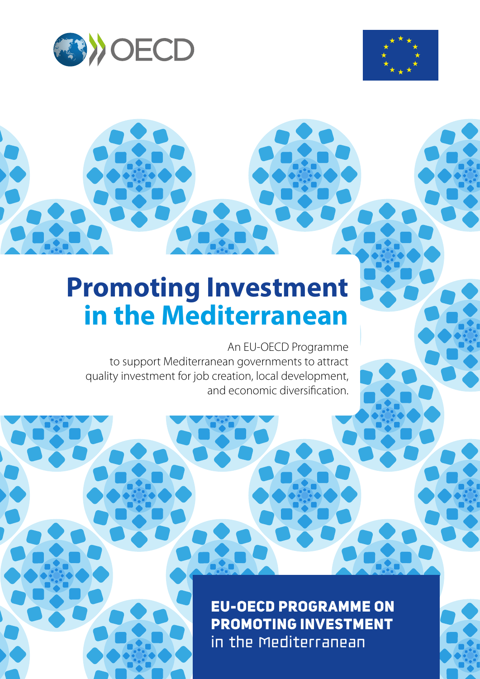



# **Promoting Investment in the Mediterranean**

An EU-OECD Programme to support Mediterranean governments to attract quality investment for job creation, local development, and economic diversification.

> EU-OECD Programme on Promoting Investment in the Mediterranean

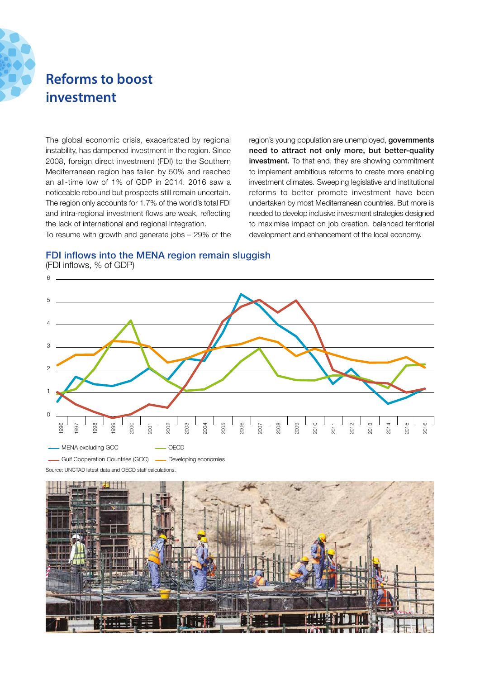

# **Reforms to boost investment**

The global economic crisis, exacerbated by regional instability, has dampened investment in the region. Since 2008, foreign direct investment (FDI) to the Southern Mediterranean region has fallen by 50% and reached an all-time low of 1% of GDP in 2014. 2016 saw a noticeable rebound but prospects still remain uncertain. The region only accounts for 1.7% of the world's total FDI and intra-regional investment flows are weak, reflecting the lack of international and regional integration. To resume with growth and generate jobs – 29% of the region's young population are unemployed, **governments** need to attract not only more, but better-quality investment. To that end, they are showing commitment to implement ambitious reforms to create more enabling investment climates. Sweeping legislative and institutional reforms to better promote investment have been undertaken by most Mediterranean countries. But more is needed to develop inclusive investment strategies designed to maximise impact on job creation, balanced territorial development and enhancement of the local economy.

## FDI inflows into the MENA region remain sluggish

Source: UNCTAD latest data and OECD staff calculations. 0 1 2 3 4 5  $6 -$ 1996 1997 1998 1999 2000 2001 2002 2003 2004 2005 2006 2007 2008 2009 2010 2011 2012 2013 2014 2015 2016 - MENA excluding GCC Gulf Cooperation Countries (GCC) Developing economies OECD

(FDI inflows, % of GDP)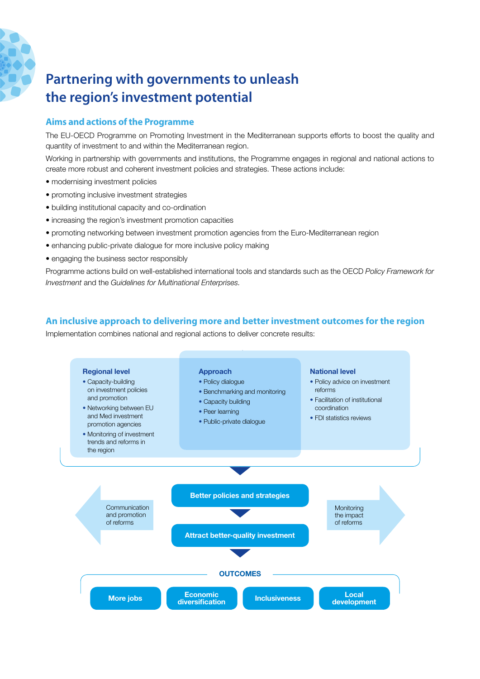

# **Partnering with governments to unleash the region's investment potential**

## **Aims and actions of the Programme**

The EU-OECD Programme on Promoting Investment in the Mediterranean supports efforts to boost the quality and quantity of investment to and within the Mediterranean region.

Working in partnership with governments and institutions, the Programme engages in regional and national actions to create more robust and coherent investment policies and strategies. These actions include:

- modernising investment policies
- promoting inclusive investment strategies
- building institutional capacity and co-ordination
- increasing the region's investment promotion capacities
- promoting networking between investment promotion agencies from the Euro-Mediterranean region
- enhancing public-private dialogue for more inclusive policy making
- engaging the business sector responsibly

Programme actions build on well-established international tools and standards such as the OECD *Policy Framework for Investment* and the *Guidelines for Multinational Enterprises.*

# **An inclusive approach to delivering more and better investment outcomes for the region**

Implementation combines national and regional actions to deliver concrete results: